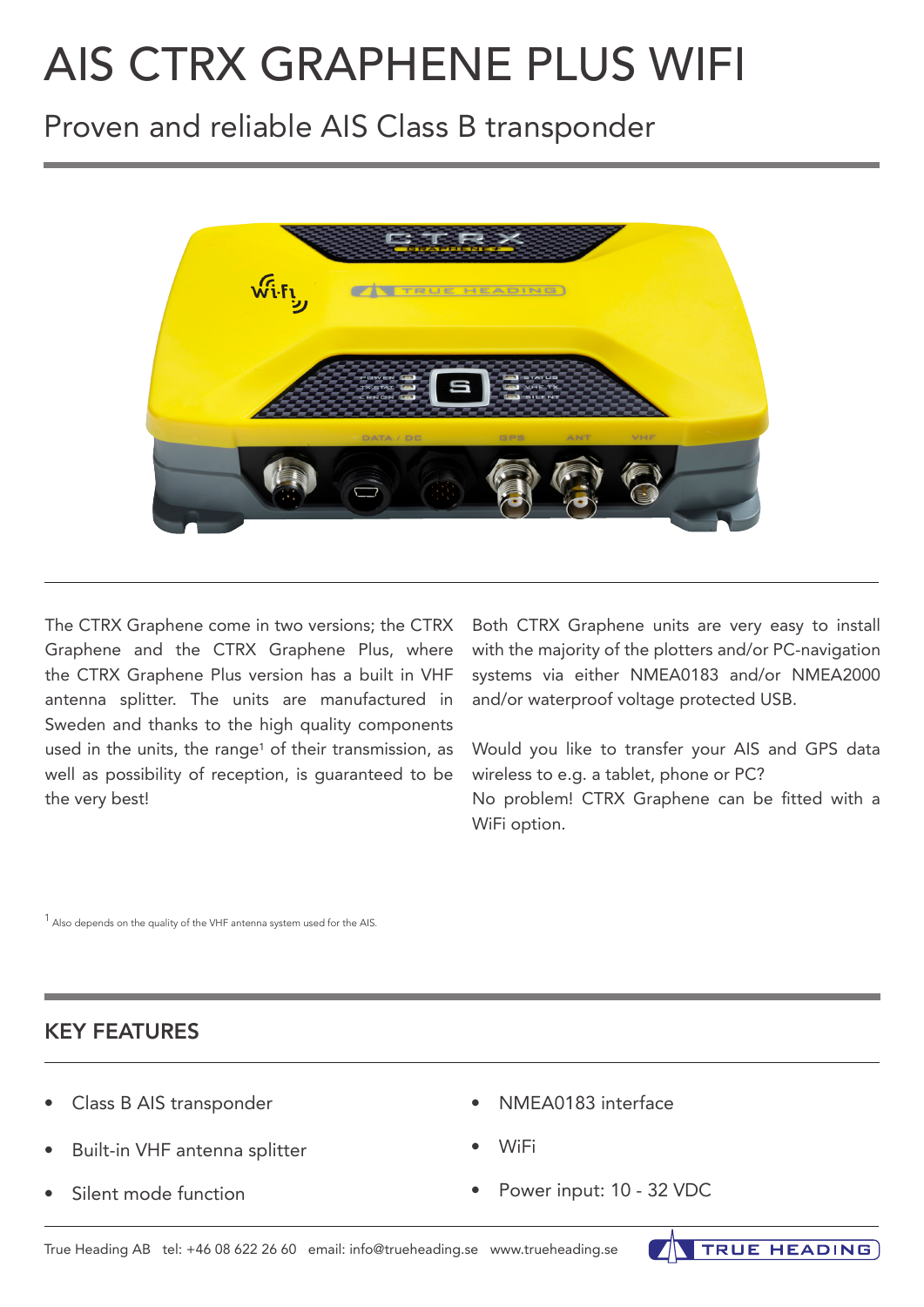# AIS CTRX GRAPHENE PLUS WIFI

## Proven and reliable AIS Class B transponder



The CTRX Graphene come in two versions; the CTRX Graphene and the CTRX Graphene Plus, where the CTRX Graphene Plus version has a built in VHF antenna splitter. The units are manufactured in Sweden and thanks to the high quality components used in the units, the range<sup>1</sup> of their transmission, as well as possibility of reception, is guaranteed to be the very best!

Both CTRX Graphene units are very easy to install with the majority of the plotters and/or PC-navigation systems via either NMEA0183 and/or NMEA2000 and/or waterproof voltage protected USB.

Would you like to transfer your AIS and GPS data wireless to e.g. a tablet, phone or PC? No problem! CTRX Graphene can be fitted with a WiFi option.

 $1$  Also depends on the quality of the VHF antenna system used for the AIS.

#### KEY FEATURES

- Class B AIS transponder
- Built-in VHF antenna splitter
- Silent mode function
- NMEA0183 interface
- WiFi
- Power input: 10 32 VDC